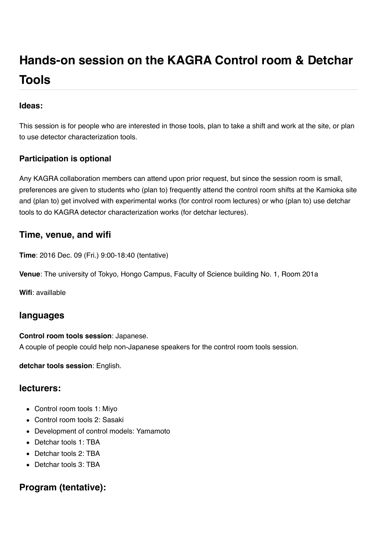# **Hands-on session on the KAGRA Control room & Detchar Tools**

#### **Ideas:**

This session is for people who are interested in those tools, plan to take a shift and work at the site, or plan to use detector characterization tools.

#### **Participation is optional**

Any KAGRA collaboration members can attend upon prior request, but since the session room is small, preferences are given to students who (plan to) frequently attend the control room shifts at the Kamioka site and (plan to) get involved with experimental works (for control room lectures) or who (plan to) use detchar tools to do KAGRA detector characterization works (for detchar lectures).

### **Time, venue, and wifi**

**Time**: 2016 Dec. 09 (Fri.) 9:00-18:40 (tentative)

**Venue**: The university of Tokyo, Hongo Campus, Faculty of Science building No. 1, Room 201a

**Wifi**: availlable

### **languages**

#### **Control room tools session**: Japanese.

A couple of people could help non-Japanese speakers for the control room tools session.

**detchar tools session**: English.

#### **lecturers:**

- Control room tools 1: Miyo
- Control room tools 2: Sasaki
- Development of control models: Yamamoto
- Detchar tools 1: TBA
- Detchar tools 2: TBA
- Detchar tools 3: TBA

## **Program (tentative):**